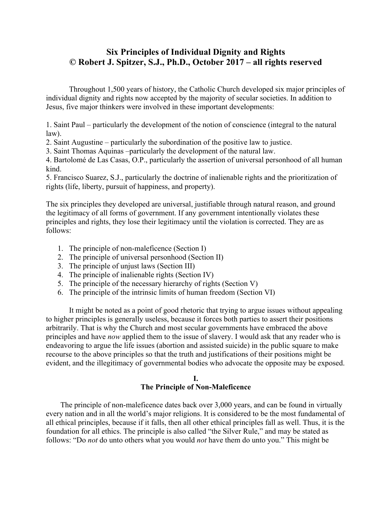# **Six Principles of Individual Dignity and Rights © Robert J. Spitzer, S.J., Ph.D., October 2017 – all rights reserved**

Throughout 1,500 years of history, the Catholic Church developed six major principles of individual dignity and rights now accepted by the majority of secular societies. In addition to Jesus, five major thinkers were involved in these important developments:

1. Saint Paul – particularly the development of the notion of conscience (integral to the natural law).

2. Saint Augustine – particularly the subordination of the positive law to justice.

3. Saint Thomas Aquinas –particularly the development of the natural law.

4. Bartolomé de Las Casas, O.P., particularly the assertion of universal personhood of all human kind.

5. Francisco Suarez, S.J., particularly the doctrine of inalienable rights and the prioritization of rights (life, liberty, pursuit of happiness, and property).

The six principles they developed are universal, justifiable through natural reason, and ground the legitimacy of all forms of government. If any government intentionally violates these principles and rights, they lose their legitimacy until the violation is corrected. They are as follows:

- 1. The principle of non-maleficence (Section I)
- 2. The principle of universal personhood (Section II)
- 3. The principle of unjust laws (Section III)
- 4. The principle of inalienable rights (Section IV)
- 5. The principle of the necessary hierarchy of rights (Section V)
- 6. The principle of the intrinsic limits of human freedom (Section VI)

It might be noted as a point of good rhetoric that trying to argue issues without appealing to higher principles is generally useless, because it forces both parties to assert their positions arbitrarily. That is why the Church and most secular governments have embraced the above principles and have *now* applied them to the issue of slavery. I would ask that any reader who is endeavoring to argue the life issues (abortion and assisted suicide) in the public square to make recourse to the above principles so that the truth and justifications of their positions might be evident, and the illegitimacy of governmental bodies who advocate the opposite may be exposed.

# **I. The Principle of Non-Maleficence**

The principle of non-maleficence dates back over 3,000 years, and can be found in virtually every nation and in all the world's major religions. It is considered to be the most fundamental of all ethical principles, because if it falls, then all other ethical principles fall as well. Thus, it is the foundation for all ethics. The principle is also called "the Silver Rule," and may be stated as follows: "Do *not* do unto others what you would *not* have them do unto you." This might be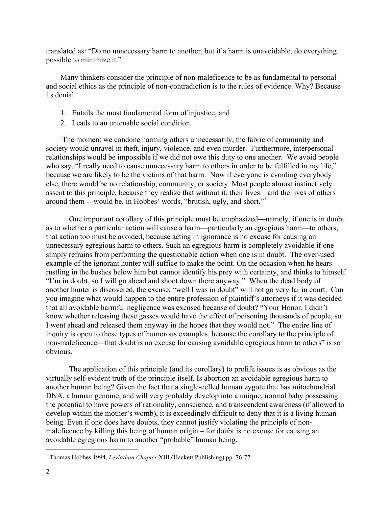translated as: "Do no unnecessary harm to another, but if a harm is unavoidable, do everything possible to minimize it."

Many thinkers consider the principle of non-maleficence to be as fundamental to personal and social ethics as the principle of non-contradiction is to the rules of evidence. Why? Because its denial:

- 1. Entails the most fundamental form of injustice, and
- 2. Leads to an untenable social condition.

The moment we condone harming others unnecessarily, the fabric of community and society would unravel in theft, injury, violence, and even murder. Furthermore, interpersonal relationships would be impossible if we did not owe this duty to one another. We avoid people who say, "I really need to cause unnecessary harm to others in order to be fulfilled in my life," because we are likely to be the victims of that harm. Now if everyone is avoiding everybody else, there would be no relationship, community, or society. Most people almost instinctively assent to this principle, because they realize that without it, their lives – and the lives of others around them -- would be, in Hobbes' words, "brutish, ugly, and short."<sup>1</sup>

One important corollary of this principle must be emphasized—namely, if one is in doubt as to whether a particular action will cause a harm—particularly an egregious harm—to others, that action too must be avoided, because acting in ignorance is no excuse for causing an unnecessary egregious harm to others. Such an egregious harm is completely avoidable if one simply refrains from performing the questionable action when one is in doubt. The over-used example of the ignorant hunter will suffice to make the point. On the occasion when he hears rustling in the bushes below him but cannot identify his prey with certainty, and thinks to himself "I'm in doubt, so I will go ahead and shoot down there anyway." When the dead body of another hunter is discovered, the excuse, "well I was in doubt" will not go very far in court. Can you imagine what would happen to the entire profession of plaintiff's attorneys if it was decided that all avoidable harmful negligence was excused because of doubt? "Your Honor, I didn't know whether releasing these gasses would have the effect of poisoning thousands of people, so I went ahead and released them anyway in the hopes that they would not." The entire line of inquiry is open to these types of humorous examples, because the corollary to the principle of non-maleficence—that doubt is no excuse for causing avoidable egregious harm to others" is so obvious.

The application of this principle (and its corollary) to prolife issues is as obvious as the virtually self-evident truth of the principle itself. Is abortion an avoidable egregious harm to another human being? Given the fact that a single-celled human zygote that has mitochondrial DNA, a human genome, and will very probably develop into a unique, normal baby possessing the potential to have powers of rationality, conscience, and transcendent awareness (if allowed to develop within the mother's womb), it is exceedingly difficult to deny that it is a living human being. Even if one does have doubts, they cannot justify violating the principle of nonmaleficence by killing this being of human origin – for doubt is no excuse for causing an avoidable egregious harm to another "probable" human being.

<sup>&</sup>lt;sup>1</sup> Thomas Hobbes 1994, *Leviathan Chapter XIII* (Hackett Publishing) pp. 76-77.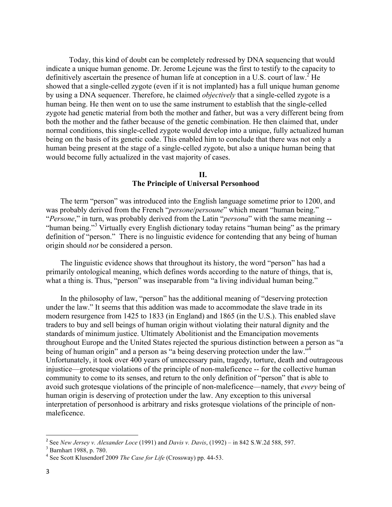Today, this kind of doubt can be completely redressed by DNA sequencing that would indicate a unique human genome. Dr. Jerome Lejeune was the first to testify to the capacity to definitively ascertain the presence of human life at conception in a U.S. court of law.<sup>2</sup> He showed that a single-celled zygote (even if it is not implanted) has a full unique human genome by using a DNA sequencer. Therefore, he claimed *objectively* that a single-celled zygote is a human being. He then went on to use the same instrument to establish that the single-celled zygote had genetic material from both the mother and father, but was a very different being from both the mother and the father because of the genetic combination. He then claimed that, under normal conditions, this single-celled zygote would develop into a unique, fully actualized human being on the basis of its genetic code. This enabled him to conclude that there was not only a human being present at the stage of a single-celled zygote, but also a unique human being that would become fully actualized in the vast majority of cases.

#### **II.**

## **The Principle of Universal Personhood**

The term "person" was introduced into the English language sometime prior to 1200, and was probably derived from the French "*persone*/*persoune*" which meant "human being." "*Persone*," in turn, was probably derived from the Latin "*persona*" with the same meaning -- "human being."<sup>3</sup> Virtually every English dictionary today retains "human being" as the primary definition of "person." There is no linguistic evidence for contending that any being of human origin should *not* be considered a person.

The linguistic evidence shows that throughout its history, the word "person" has had a primarily ontological meaning, which defines words according to the nature of things, that is, what a thing is. Thus, "person" was inseparable from "a living individual human being."

In the philosophy of law, "person" has the additional meaning of "deserving protection under the law." It seems that this addition was made to accommodate the slave trade in its modern resurgence from 1425 to 1833 (in England) and 1865 (in the U.S.). This enabled slave traders to buy and sell beings of human origin without violating their natural dignity and the standards of minimum justice. Ultimately Abolitionist and the Emancipation movements throughout Europe and the United States rejected the spurious distinction between a person as "a being of human origin" and a person as "a being deserving protection under the law."<sup>4</sup> Unfortunately, it took over 400 years of unnecessary pain, tragedy, torture, death and outrageous injustice—grotesque violations of the principle of non-maleficence -- for the collective human community to come to its senses, and return to the only definition of "person" that is able to avoid such grotesque violations of the principle of non-maleficence—namely, that *every* being of human origin is deserving of protection under the law. Any exception to this universal interpretation of personhood is arbitrary and risks grotesque violations of the principle of nonmaleficence.

<sup>2</sup> See *New Jersey v. Alexander Loce* (1991) and *Davis v. Davis*, (1992) – in 842 S.W.2d 588, 597.

<sup>3</sup> Barnhart 1988, p. 780.

<sup>4</sup> See Scott Klusendorf 2009 *The Case for Life* (Crossway) pp. 44-53.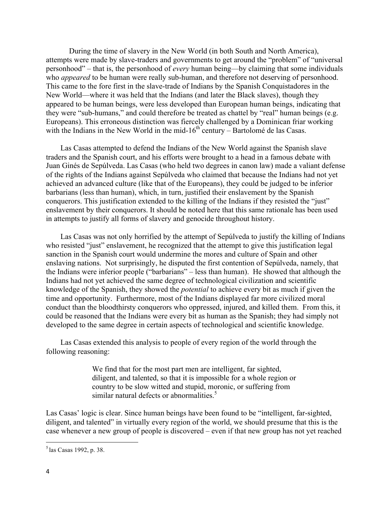During the time of slavery in the New World (in both South and North America), attempts were made by slave-traders and governments to get around the "problem" of "universal personhood" – that is, the personhood of *every* human being—by claiming that some individuals who *appeared* to be human were really sub-human, and therefore not deserving of personhood. This came to the fore first in the slave-trade of Indians by the Spanish Conquistadores in the New World—where it was held that the Indians (and later the Black slaves), though they appeared to be human beings, were less developed than European human beings, indicating that they were "sub-humans," and could therefore be treated as chattel by "real" human beings (e.g. Europeans). This erroneous distinction was fiercely challenged by a Dominican friar working with the Indians in the New World in the mid-16<sup>th</sup> century – Bartolomé de las Casas.

Las Casas attempted to defend the Indians of the New World against the Spanish slave traders and the Spanish court, and his efforts were brought to a head in a famous debate with Juan Ginés de Sepúlveda. Las Casas (who held two degrees in canon law) made a valiant defense of the rights of the Indians against Sepúlveda who claimed that because the Indians had not yet achieved an advanced culture (like that of the Europeans), they could be judged to be inferior barbarians (less than human), which, in turn, justified their enslavement by the Spanish conquerors. This justification extended to the killing of the Indians if they resisted the "just" enslavement by their conquerors. It should be noted here that this same rationale has been used in attempts to justify all forms of slavery and genocide throughout history.

Las Casas was not only horrified by the attempt of Sepúlveda to justify the killing of Indians who resisted "just" enslavement, he recognized that the attempt to give this justification legal sanction in the Spanish court would undermine the mores and culture of Spain and other enslaving nations. Not surprisingly, he disputed the first contention of Sepúlveda, namely, that the Indians were inferior people ("barbarians" – less than human). He showed that although the Indians had not yet achieved the same degree of technological civilization and scientific knowledge of the Spanish, they showed the *potential* to achieve every bit as much if given the time and opportunity. Furthermore, most of the Indians displayed far more civilized moral conduct than the bloodthirsty conquerors who oppressed, injured, and killed them. From this, it could be reasoned that the Indians were every bit as human as the Spanish; they had simply not developed to the same degree in certain aspects of technological and scientific knowledge.

Las Casas extended this analysis to people of every region of the world through the following reasoning:

> We find that for the most part men are intelligent, far sighted, diligent, and talented, so that it is impossible for a whole region or country to be slow witted and stupid, moronic, or suffering from similar natural defects or abnormalities. $5$

Las Casas' logic is clear. Since human beings have been found to be "intelligent, far-sighted, diligent, and talented" in virtually every region of the world, we should presume that this is the case whenever a new group of people is discovered – even if that new group has not yet reached

<sup>5</sup> las Casas 1992, p. 38.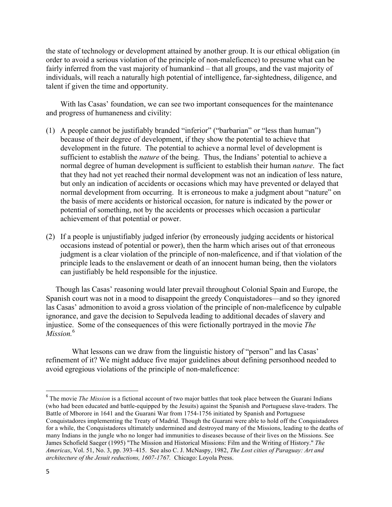the state of technology or development attained by another group. It is our ethical obligation (in order to avoid a serious violation of the principle of non-maleficence) to presume what can be fairly inferred from the vast majority of humankind – that all groups, and the vast majority of individuals, will reach a naturally high potential of intelligence, far-sightedness, diligence, and talent if given the time and opportunity.

With las Casas' foundation, we can see two important consequences for the maintenance and progress of humaneness and civility:

- (1) A people cannot be justifiably branded "inferior" ("barbarian" or "less than human") because of their degree of development, if they show the potential to achieve that development in the future. The potential to achieve a normal level of development is sufficient to establish the *nature* of the being. Thus, the Indians' potential to achieve a normal degree of human development is sufficient to establish their human *nature*. The fact that they had not yet reached their normal development was not an indication of less nature, but only an indication of accidents or occasions which may have prevented or delayed that normal development from occurring. It is erroneous to make a judgment about "nature" on the basis of mere accidents or historical occasion, for nature is indicated by the power or potential of something, not by the accidents or processes which occasion a particular achievement of that potential or power.
- (2) If a people is unjustifiably judged inferior (by erroneously judging accidents or historical occasions instead of potential or power), then the harm which arises out of that erroneous judgment is a clear violation of the principle of non-maleficence, and if that violation of the principle leads to the enslavement or death of an innocent human being, then the violators can justifiably be held responsible for the injustice.

 Though las Casas' reasoning would later prevail throughout Colonial Spain and Europe, the Spanish court was not in a mood to disappoint the greedy Conquistadores—and so they ignored las Casas' admonition to avoid a gross violation of the principle of non-maleficence by culpable ignorance, and gave the decision to Sepulveda leading to additional decades of slavery and injustice. Some of the consequences of this were fictionally portrayed in the movie *The Mission.*<sup>6</sup>

What lessons can we draw from the linguistic history of "person" and las Casas' refinement of it? We might adduce five major guidelines about defining personhood needed to avoid egregious violations of the principle of non-maleficence:

<sup>&</sup>lt;sup>6</sup> The movie *The Mission* is a fictional account of two major battles that took place between the Guarani Indians (who had been educated and battle-equipped by the Jesuits) against the Spanish and Portuguese slave-traders. The Battle of Mborore in 1641 and the Guarani War from 1754-1756 initiated by Spanish and Portuguese Conquistadores implementing the Treaty of Madrid. Though the Guarani were able to hold off the Conquistadores for a while, the Conquistadores ultimately undermined and destroyed many of the Missions, leading to the deaths of many Indians in the jungle who no longer had immunities to diseases because of their lives on the Missions. See James Schofield Saeger (1995) "The Mission and Historical Missions: Film and the Writing of History." *The Americas*, Vol. 51, No. 3, pp. 393–415. See also C. J. McNaspy, 1982, *The Lost cities of Paraguay: Art and architecture of the Jesuit reductions, 1607-1767.* Chicago: Loyola Press.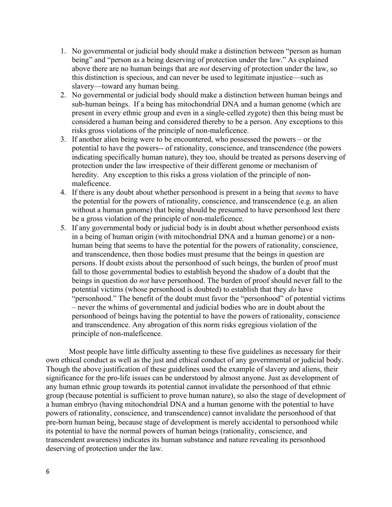- 1. No governmental or judicial body should make a distinction between "person as human being" and "person as a being deserving of protection under the law." As explained above there are no human beings that are *not* deserving of protection under the law, so this distinction is specious, and can never be used to legitimate injustice—such as slavery—toward any human being.
- 2. No governmental or judicial body should make a distinction between human beings and sub-human beings. If a being has mitochondrial DNA and a human genome (which are present in every ethnic group and even in a single-celled zygote) then this being must be considered a human being and considered thereby to be a person. Any exceptions to this risks gross violations of the principle of non-maleficence.
- 3. If another alien being were to be encountered, who possessed the powers or the potential to have the powers-- of rationality, conscience, and transcendence (the powers indicating specifically human nature), they too, should be treated as persons deserving of protection under the law irrespective of their different genome or mechanism of heredity. Any exception to this risks a gross violation of the principle of nonmaleficence.
- 4. If there is any doubt about whether personhood is present in a being that *seems* to have the potential for the powers of rationality, conscience, and transcendence (e.g. an alien without a human genome) that being should be presumed to have personhood lest there be a gross violation of the principle of non-maleficence.
- 5. If any governmental body or judicial body is in doubt about whether personhood exists in a being of human origin (with mitochondrial DNA and a human genome) or a nonhuman being that seems to have the potential for the powers of rationality, conscience, and transcendence, then those bodies must presume that the beings in question are persons. If doubt exists about the personhood of such beings, the burden of proof must fall to those governmental bodies to establish beyond the shadow of a doubt that the beings in question do *not* have personhood. The burden of proof should never fall to the potential victims (whose personhood is doubted) to establish that they *do* have "personhood." The benefit of the doubt must favor the "personhood" of potential victims – never the whims of governmental and judicial bodies who are in doubt about the personhood of beings having the potential to have the powers of rationality, conscience and transcendence. Any abrogation of this norm risks egregious violation of the principle of non-maleficence.

Most people have little difficulty assenting to these five guidelines as necessary for their own ethical conduct as well as the just and ethical conduct of any governmental or judicial body. Though the above justification of these guidelines used the example of slavery and aliens, their significance for the pro-life issues can be understood by almost anyone. Just as development of any human ethnic group towards its potential cannot invalidate the personhood of that ethnic group (because potential is sufficient to prove human nature), so also the stage of development of a human embryo (having mitochondrial DNA and a human genome with the potential to have powers of rationality, conscience, and transcendence) cannot invalidate the personhood of that pre-born human being, because stage of development is merely accidental to personhood while its potential to have the normal powers of human beings (rationality, conscience, and transcendent awareness) indicates its human substance and nature revealing its personhood deserving of protection under the law.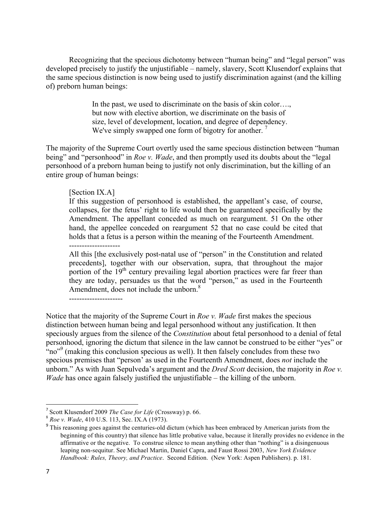Recognizing that the specious dichotomy between "human being" and "legal person" was developed precisely to justify the unjustifiable – namely, slavery, Scott Klusendorf explains that the same specious distinction is now being used to justify discrimination against (and the killing of) preborn human beings:

> In the past, we used to discriminate on the basis of skin color…. but now with elective abortion, we discriminate on the basis of size, level of development, location, and degree of dependency. We've simply swapped one form of bigotry for another.  $\frac{7}{1}$

The majority of the Supreme Court overtly used the same specious distinction between "human being" and "personhood" in *Roe v. Wade*, and then promptly used its doubts about the "legal personhood of a preborn human being to justify not only discrimination, but the killing of an entire group of human beings:

#### [Section IX.A]

If this suggestion of personhood is established, the appellant's case, of course, collapses, for the fetus' right to life would then be guaranteed specifically by the Amendment. The appellant conceded as much on reargument. 51 On the other hand, the appellee conceded on reargument 52 that no case could be cited that holds that a fetus is a person within the meaning of the Fourteenth Amendment.

--------------------

All this [the exclusively post-natal use of "person" in the Constitution and related precedents], together with our observation, supra, that throughout the major portion of the  $19<sup>th</sup>$  century prevailing legal abortion practices were far freer than they are today, persuades us that the word "person," as used in the Fourteenth Amendment, does not include the unborn.<sup>8</sup>

---------------------

Notice that the majority of the Supreme Court in *Roe v. Wade* first makes the specious distinction between human being and legal personhood without any justification. It then speciously argues from the silence of the *Constitution* about fetal personhood to a denial of fetal personhood, ignoring the dictum that silence in the law cannot be construed to be either "yes" or "no"<sup>9</sup> (making this conclusion specious as well). It then falsely concludes from these two specious premises that "person' as used in the Fourteenth Amendment, does *not* include the unborn." As with Juan Sepulveda's argument and the *Dred Scott* decision, the majority in *Roe v. Wade* has once again falsely justified the unjustifiable – the killing of the unborn.

<sup>7</sup> Scott Klusendorf 2009 *The Case for Life* (Crossway) p. 66.

<sup>8</sup> *Roe v. Wade*, 410 U.S. 113, Sec. IX.A (1973).

<sup>&</sup>lt;sup>9</sup> This reasoning goes against the centuries-old dictum (which has been embraced by American jurists from the beginning of this country) that silence has little probative value, because it literally provides no evidence in the affirmative or the negative. To construe silence to mean anything other than "nothing" is a disingenuous leaping non-sequitur. See Michael Martin, Daniel Capra, and Faust Rossi 2003, *New York Evidence Handbook: Rules, Theory, and Practice*. Second Edition. (New York: Aspen Publishers). p. 181.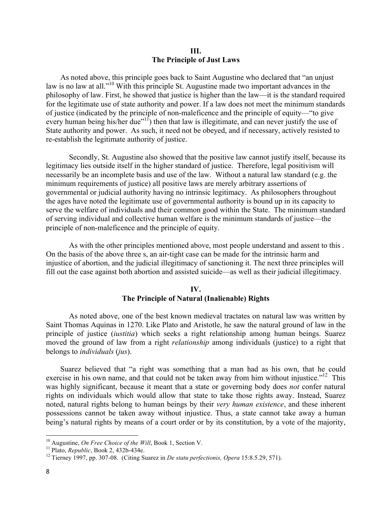### **III. The Principle of Just Laws**

As noted above, this principle goes back to Saint Augustine who declared that "an unjust law is no law at all."<sup>10</sup> With this principle St. Augustine made two important advances in the philosophy of law. First, he showed that justice is higher than the law—it is the standard required for the legitimate use of state authority and power. If a law does not meet the minimum standards of justice (indicated by the principle of non-maleficence and the principle of equity—"to give every human being his/her due"<sup>11</sup>) then that law is illegitimate, and can never justify the use of State authority and power. As such, it need not be obeyed, and if necessary, actively resisted to re-establish the legitimate authority of justice.

Secondly, St. Augustine also showed that the positive law cannot justify itself, because its legitimacy lies outside itself in the higher standard of justice. Therefore, legal positivism will necessarily be an incomplete basis and use of the law. Without a natural law standard (e.g. the minimum requirements of justice) all positive laws are merely arbitrary assertions of governmental or judicial authority having no intrinsic legitimacy. As philosophers throughout the ages have noted the legitimate use of governmental authority is bound up in its capacity to serve the welfare of individuals and their common good within the State. The minimum standard of serving individual and collective human welfare is the minimum standards of justice—the principle of non-maleficence and the principle of equity.

As with the other principles mentioned above, most people understand and assent to this . On the basis of the above three s, an air-tight case can be made for the intrinsic harm and injustice of abortion, and the judicial illegitimacy of sanctioning it. The next three principles will fill out the case against both abortion and assisted suicide—as well as their judicial illegitimacy.

### **IV. The Principle of Natural (Inalienable) Rights**

As noted above, one of the best known medieval tractates on natural law was written by Saint Thomas Aquinas in 1270. Like Plato and Aristotle, he saw the natural ground of law in the principle of justice (*iustitia*) which seeks a right relationship among human beings. Suarez moved the ground of law from a right *relationship* among individuals (justice) to a right that belongs to *individuals* (*jus*).

Suarez believed that "a right was something that a man had as his own, that he could exercise in his own name, and that could not be taken away from him without injustice."<sup>12</sup> This was highly significant, because it meant that a state or governing body does *not* confer natural rights on individuals which would allow that state to take those rights away. Instead, Suarez noted, natural rights belong to human beings by their *very human existence*, and these inherent possessions cannot be taken away without injustice. Thus, a state cannot take away a human being's natural rights by means of a court order or by its constitution, by a vote of the majority,

<sup>10</sup> Augustine, *On Free Choice of the Will*, Book 1, Section V.

<sup>11</sup> Plato, *Republic*, Book 2, 432b-434e.

<sup>12</sup> Tierney 1997, pp. 307-08. (Citing Suarez in *De statu perfectionis, Opera* 15:8.5.29, 571).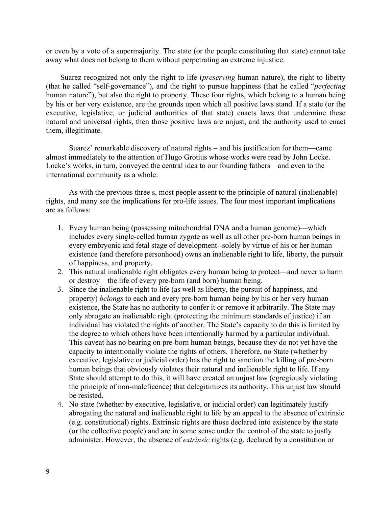or even by a vote of a supermajority. The state (or the people constituting that state) cannot take away what does not belong to them without perpetrating an extreme injustice.

Suarez recognized not only the right to life (*preserving* human nature), the right to liberty (that he called "self-governance"), and the right to pursue happiness (that he called "*perfecting* human nature"), but also the right to property. These four rights, which belong to a human being by his or her very existence, are the grounds upon which all positive laws stand. If a state (or the executive, legislative, or judicial authorities of that state) enacts laws that undermine these natural and universal rights, then those positive laws are unjust, and the authority used to enact them, illegitimate.

Suarez' remarkable discovery of natural rights – and his justification for them—came almost immediately to the attention of Hugo Grotius whose works were read by John Locke. Locke's works, in turn, conveyed the central idea to our founding fathers – and even to the international community as a whole.

As with the previous three s, most people assent to the principle of natural (inalienable) rights, and many see the implications for pro-life issues. The four most important implications are as follows:

- 1. Every human being (possessing mitochondrial DNA and a human genome)—which includes every single-celled human zygote as well as all other pre-born human beings in every embryonic and fetal stage of development--solely by virtue of his or her human existence (and therefore personhood) owns an inalienable right to life, liberty, the pursuit of happiness, and property.
- 2. This natural inalienable right obligates every human being to protect—and never to harm or destroy—the life of every pre-born (and born) human being.
- 3. Since the inalienable right to life (as well as liberty, the pursuit of happiness, and property) *belongs* to each and every pre-born human being by his or her very human existence, the State has no authority to confer it or remove it arbitrarily. The State may only abrogate an inalienable right (protecting the minimum standards of justice) if an individual has violated the rights of another. The State's capacity to do this is limited by the degree to which others have been intentionally harmed by a particular individual. This caveat has no bearing on pre-born human beings, because they do not yet have the capacity to intentionally violate the rights of others. Therefore, no State (whether by executive, legislative or judicial order) has the right to sanction the killing of pre-born human beings that obviously violates their natural and inalienable right to life. If any State should attempt to do this, it will have created an unjust law (egregiously violating the principle of non-maleficence) that delegitimizes its authority. This unjust law should be resisted.
- 4. No state (whether by executive, legislative, or judicial order) can legitimately justify abrogating the natural and inalienable right to life by an appeal to the absence of extrinsic (e.g. constitutional) rights. Extrinsic rights are those declared into existence by the state (or the collective people) and are in some sense under the control of the state to justly administer. However, the absence of *extrinsic* rights (e.g. declared by a constitution or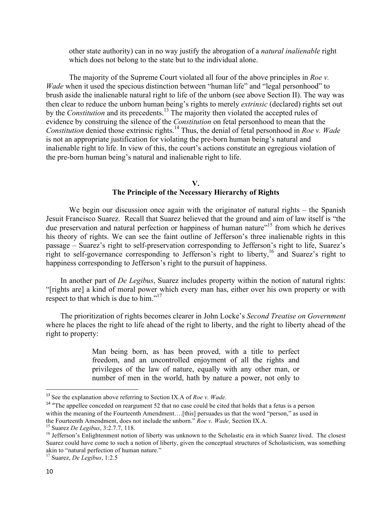other state authority) can in no way justify the abrogation of a *natural inalienable* right which does not belong to the state but to the individual alone.

The majority of the Supreme Court violated all four of the above principles in *Roe v. Wade* when it used the specious distinction between "human life" and "legal personhood" to brush aside the inalienable natural right to life of the unborn (see above Section II). The way was then clear to reduce the unborn human being's rights to merely *extrinsic* (declared) rights set out by the *Constitution* and its precedents.<sup>13</sup> The majority then violated the accepted rules of evidence by construing the silence of the *Constitution* on fetal personhood to mean that the *Constitution* denied those extrinsic rights.<sup>14</sup> Thus, the denial of fetal personhood in *Roe v. Wade* is not an appropriate justification for violating the pre-born human being's natural and inalienable right to life. In view of this, the court's actions constitute an egregious violation of the pre-born human being's natural and inalienable right to life.

### **V. The Principle of the Necessary Hierarchy of Rights**

We begin our discussion once again with the originator of natural rights – the Spanish Jesuit Francisco Suarez. Recall that Suarez believed that the ground and aim of law itself is "the due preservation and natural perfection or happiness of human nature"<sup>15</sup> from which he derives his theory of rights. We can see the faint outline of Jefferson's three inalienable rights in this passage – Suarez's right to self-preservation corresponding to Jefferson's right to life, Suarez's right to self-governance corresponding to Jefferson's right to liberty,<sup>16</sup> and Suarez's right to happiness corresponding to Jefferson's right to the pursuit of happiness.

In another part of *De Legibus*, Suarez includes property within the notion of natural rights: "[rights are] a kind of moral power which every man has, either over his own property or with respect to that which is due to him."<sup>17</sup>

The prioritization of rights becomes clearer in John Locke's *Second Treatise on Government* where he places the right to life ahead of the right to liberty, and the right to liberty ahead of the right to property:

> Man being born, as has been proved, with a title to perfect freedom, and an uncontrolled enjoyment of all the rights and privileges of the law of nature, equally with any other man, or number of men in the world, hath by nature a power, not only to

<sup>13</sup> See the explanation above referring to Section IX.A of *Roe v. Wade.*

<sup>&</sup>lt;sup>14</sup> "The appellee conceded on reargument 52 that no case could be cited that holds that a fetus is a person within the meaning of the Fourteenth Amendment....[this] persuades us that the word "person," as used in the Fourteenth Amendment, does not include the unborn." *Roe v. Wade,* Section IX.A.

<sup>15</sup> Suarez *De Legibus*, 3:2.7.7, 118.

<sup>&</sup>lt;sup>16</sup> Jefferson's Enlightenment notion of liberty was unknown to the Scholastic era in which Suarez lived. The closest Suarez could have come to such a notion of liberty, given the conceptual structures of Scholasticism, was something akin to "natural perfection of human nature."

<sup>17</sup> Suarez, *De Legibus*, 1:2.5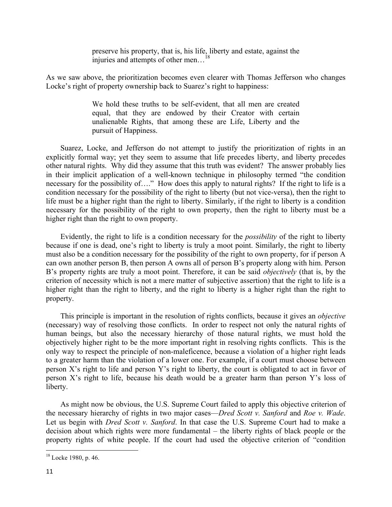preserve his property, that is, his life, liberty and estate, against the injuries and attempts of other men...<sup>18</sup>

As we saw above, the prioritization becomes even clearer with Thomas Jefferson who changes Locke's right of property ownership back to Suarez's right to happiness:

> We hold these truths to be self-evident, that all men are created equal, that they are endowed by their Creator with certain unalienable Rights, that among these are Life, Liberty and the pursuit of Happiness.

Suarez, Locke, and Jefferson do not attempt to justify the prioritization of rights in an explicitly formal way; yet they seem to assume that life precedes liberty, and liberty precedes other natural rights. Why did they assume that this truth was evident? The answer probably lies in their implicit application of a well-known technique in philosophy termed "the condition necessary for the possibility of...." How does this apply to natural rights? If the right to life is a condition necessary for the possibility of the right to liberty (but not vice-versa), then the right to life must be a higher right than the right to liberty. Similarly, if the right to liberty is a condition necessary for the possibility of the right to own property, then the right to liberty must be a higher right than the right to own property.

Evidently, the right to life is a condition necessary for the *possibility* of the right to liberty because if one is dead, one's right to liberty is truly a moot point. Similarly, the right to liberty must also be a condition necessary for the possibility of the right to own property, for if person A can own another person B, then person A owns all of person B's property along with him. Person B's property rights are truly a moot point. Therefore, it can be said *objectively* (that is, by the criterion of necessity which is not a mere matter of subjective assertion) that the right to life is a higher right than the right to liberty, and the right to liberty is a higher right than the right to property.

This principle is important in the resolution of rights conflicts, because it gives an *objective* (necessary) way of resolving those conflicts. In order to respect not only the natural rights of human beings, but also the necessary hierarchy of those natural rights, we must hold the objectively higher right to be the more important right in resolving rights conflicts. This is the only way to respect the principle of non-maleficence, because a violation of a higher right leads to a greater harm than the violation of a lower one. For example, if a court must choose between person X's right to life and person Y's right to liberty, the court is obligated to act in favor of person X's right to life, because his death would be a greater harm than person Y's loss of liberty.

As might now be obvious, the U.S. Supreme Court failed to apply this objective criterion of the necessary hierarchy of rights in two major cases—*Dred Scott v. Sanford* and *Roe v. Wade*. Let us begin with *Dred Scott v. Sanford*. In that case the U.S. Supreme Court had to make a decision about which rights were more fundamental – the liberty rights of black people or the property rights of white people. If the court had used the objective criterion of "condition

<sup>18</sup> Locke 1980, p. 46.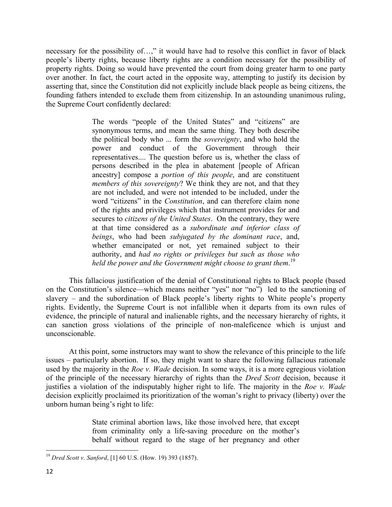necessary for the possibility of…," it would have had to resolve this conflict in favor of black people's liberty rights, because liberty rights are a condition necessary for the possibility of property rights. Doing so would have prevented the court from doing greater harm to one party over another. In fact, the court acted in the opposite way, attempting to justify its decision by asserting that, since the Constitution did not explicitly include black people as being citizens, the founding fathers intended to exclude them from citizenship. In an astounding unanimous ruling, the Supreme Court confidently declared:

> The words "people of the United States" and "citizens" are synonymous terms, and mean the same thing. They both describe the political body who ... form the *sovereignty*, and who hold the power and conduct of the Government through their representatives.... The question before us is, whether the class of persons described in the plea in abatement [people of African ancestry] compose a *portion of this people*, and are constituent *members of this sovereignty*? We think they are not, and that they are not included, and were not intended to be included, under the word "citizens" in the *Constitution*, and can therefore claim none of the rights and privileges which that instrument provides for and secures to *citizens of the United States*. On the contrary, they were at that time considered as a *subordinate and inferior class of beings*, who had been *subjugated by the dominant race*, and, whether emancipated or not, yet remained subject to their authority, and *had no rights or privileges but such as those who held the power and the Government might choose to grant them*. 19

This fallacious justification of the denial of Constitutional rights to Black people (based on the Constitution's silence—which means neither "yes" nor "no") led to the sanctioning of slavery – and the subordination of Black people's liberty rights to White people's property rights. Evidently, the Supreme Court is not infallible when it departs from its own rules of evidence, the principle of natural and inalienable rights, and the necessary hierarchy of rights, it can sanction gross violations of the principle of non-maleficence which is unjust and unconscionable.

At this point, some instructors may want to show the relevance of this principle to the life issues – particularly abortion. If so, they might want to share the following fallacious rationale used by the majority in the *Roe v. Wade* decision. In some ways, it is a more egregious violation of the principle of the necessary hierarchy of rights than the *Dred Scott* decision, because it justifies a violation of the indisputably higher right to life. The majority in the *Roe v. Wade* decision explicitly proclaimed its prioritization of the woman's right to privacy (liberty) over the unborn human being's right to life:

> State criminal abortion laws, like those involved here, that except from criminality only a life-saving procedure on the mother's behalf without regard to the stage of her pregnancy and other

<sup>19</sup> *Dred Scott v. Sanford*, [1] 60 U.S. (How. 19) 393 (1857).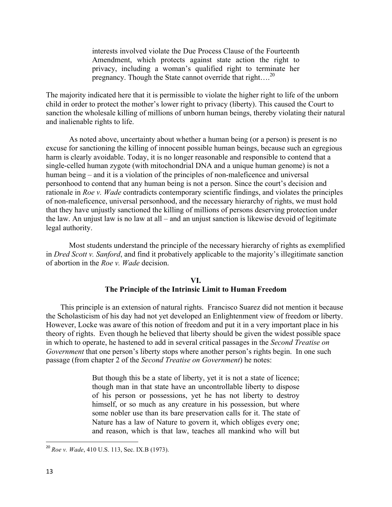interests involved violate the Due Process Clause of the Fourteenth Amendment, which protects against state action the right to privacy, including a woman's qualified right to terminate her pregnancy. Though the State cannot override that right.... $^{20}$ 

The majority indicated here that it is permissible to violate the higher right to life of the unborn child in order to protect the mother's lower right to privacy (liberty). This caused the Court to sanction the wholesale killing of millions of unborn human beings, thereby violating their natural and inalienable rights to life.

As noted above, uncertainty about whether a human being (or a person) is present is no excuse for sanctioning the killing of innocent possible human beings, because such an egregious harm is clearly avoidable. Today, it is no longer reasonable and responsible to contend that a single-celled human zygote (with mitochondrial DNA and a unique human genome) is not a human being – and it is a violation of the principles of non-maleficence and universal personhood to contend that any human being is not a person. Since the court's decision and rationale in *Roe v. Wade* contradicts contemporary scientific findings, and violates the principles of non-maleficence, universal personhood, and the necessary hierarchy of rights, we must hold that they have unjustly sanctioned the killing of millions of persons deserving protection under the law. An unjust law is no law at all – and an unjust sanction is likewise devoid of legitimate legal authority.

Most students understand the principle of the necessary hierarchy of rights as exemplified in *Dred Scott v. Sanford*, and find it probatively applicable to the majority's illegitimate sanction of abortion in the *Roe v. Wade* decision.

#### **VI. The Principle of the Intrinsic Limit to Human Freedom**

This principle is an extension of natural rights. Francisco Suarez did not mention it because the Scholasticism of his day had not yet developed an Enlightenment view of freedom or liberty. However, Locke was aware of this notion of freedom and put it in a very important place in his theory of rights. Even though he believed that liberty should be given the widest possible space in which to operate, he hastened to add in several critical passages in the *Second Treatise on Government* that one person's liberty stops where another person's rights begin. In one such passage (from chapter 2 of the *Second Treatise on Government*) he notes:

> But though this be a state of liberty, yet it is not a state of licence; though man in that state have an uncontrollable liberty to dispose of his person or possessions, yet he has not liberty to destroy himself, or so much as any creature in his possession, but where some nobler use than its bare preservation calls for it. The state of Nature has a law of Nature to govern it, which obliges every one; and reason, which is that law, teaches all mankind who will but

<sup>20</sup> *Roe v. Wade*, 410 U.S. 113, Sec. IX.B (1973).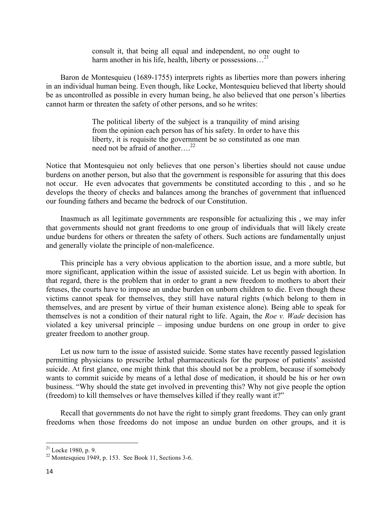consult it, that being all equal and independent, no one ought to harm another in his life, health, liberty or possessions...<sup>21</sup>

Baron de Montesquieu (1689-1755) interprets rights as liberties more than powers inhering in an individual human being. Even though, like Locke, Montesquieu believed that liberty should be as uncontrolled as possible in every human being, he also believed that one person's liberties cannot harm or threaten the safety of other persons, and so he writes:

> The political liberty of the subject is a tranquility of mind arising from the opinion each person has of his safety. In order to have this liberty, it is requisite the government be so constituted as one man need not be afraid of another….<sup>22</sup>

Notice that Montesquieu not only believes that one person's liberties should not cause undue burdens on another person, but also that the government is responsible for assuring that this does not occur. He even advocates that governments be constituted according to this , and so he develops the theory of checks and balances among the branches of government that influenced our founding fathers and became the bedrock of our Constitution.

Inasmuch as all legitimate governments are responsible for actualizing this , we may infer that governments should not grant freedoms to one group of individuals that will likely create undue burdens for others or threaten the safety of others. Such actions are fundamentally unjust and generally violate the principle of non-maleficence.

This principle has a very obvious application to the abortion issue, and a more subtle, but more significant, application within the issue of assisted suicide. Let us begin with abortion. In that regard, there is the problem that in order to grant a new freedom to mothers to abort their fetuses, the courts have to impose an undue burden on unborn children to die. Even though these victims cannot speak for themselves, they still have natural rights (which belong to them in themselves, and are present by virtue of their human existence alone). Being able to speak for themselves is not a condition of their natural right to life. Again, the *Roe v. Wade* decision has violated a key universal principle – imposing undue burdens on one group in order to give greater freedom to another group.

Let us now turn to the issue of assisted suicide. Some states have recently passed legislation permitting physicians to prescribe lethal pharmaceuticals for the purpose of patients' assisted suicide. At first glance, one might think that this should not be a problem, because if somebody wants to commit suicide by means of a lethal dose of medication, it should be his or her own business. "Why should the state get involved in preventing this? Why not give people the option (freedom) to kill themselves or have themselves killed if they really want it?"

Recall that governments do not have the right to simply grant freedoms. They can only grant freedoms when those freedoms do not impose an undue burden on other groups, and it is

 $21$  Locke 1980, p. 9.

 $22$  Montesquieu 1949, p. 153. See Book 11, Sections 3-6.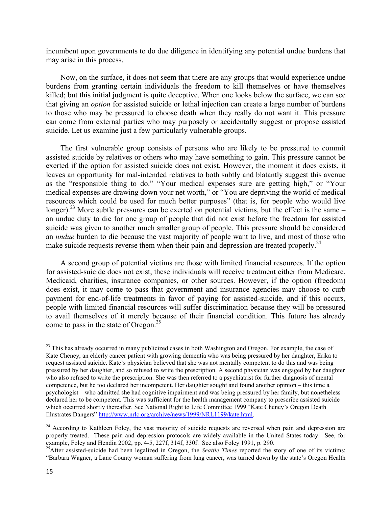incumbent upon governments to do due diligence in identifying any potential undue burdens that may arise in this process.

Now, on the surface, it does not seem that there are any groups that would experience undue burdens from granting certain individuals the freedom to kill themselves or have themselves killed; but this initial judgment is quite deceptive. When one looks below the surface, we can see that giving an *option* for assisted suicide or lethal injection can create a large number of burdens to those who may be pressured to choose death when they really do not want it. This pressure can come from external parties who may purposely or accidentally suggest or propose assisted suicide. Let us examine just a few particularly vulnerable groups.

The first vulnerable group consists of persons who are likely to be pressured to commit assisted suicide by relatives or others who may have something to gain. This pressure cannot be exerted if the option for assisted suicide does not exist. However, the moment it does exists, it leaves an opportunity for mal-intended relatives to both subtly and blatantly suggest this avenue as the "responsible thing to do." "Your medical expenses sure are getting high," or "Your medical expenses are drawing down your net worth," or "You are depriving the world of medical resources which could be used for much better purposes" (that is, for people who would live longer).<sup>23</sup> More subtle pressures can be exerted on potential victims, but the effect is the same – an undue duty to die for one group of people that did not exist before the freedom for assisted suicide was given to another much smaller group of people. This pressure should be considered an *undue* burden to die because the vast majority of people want to live, and most of those who make suicide requests reverse them when their pain and depression are treated properly.<sup>24</sup>

A second group of potential victims are those with limited financial resources. If the option for assisted-suicide does not exist, these individuals will receive treatment either from Medicare, Medicaid, charities, insurance companies, or other sources. However, if the option (freedom) does exist, it may come to pass that government and insurance agencies may choose to curb payment for end-of-life treatments in favor of paying for assisted-suicide, and if this occurs, people with limited financial resources will suffer discrimination because they will be pressured to avail themselves of it merely because of their financial condition. This future has already come to pass in the state of Oregon.<sup>25</sup>

<sup>&</sup>lt;sup>23</sup> This has already occurred in many publicized cases in both Washington and Oregon. For example, the case of Kate Cheney, an elderly cancer patient with growing dementia who was being pressured by her daughter, Erika to request assisted suicide. Kate's physician believed that she was not mentally competent to do this and was being pressured by her daughter, and so refused to write the prescription. A second physician was engaged by her daughter who also refused to write the prescription. She was then referred to a psychiatrist for further diagnosis of mental competence, but he too declared her incompetent. Her daughter sought and found another opinion – this time a psychologist – who admitted she had cognitive impairment and was being pressured by her family, but nonetheless declared her to be competent. This was sufficient for the health management company to prescribe assisted suicide – which occurred shortly thereafter. See National Right to Life Committee 1999 "Kate Cheney's Oregon Death Illustrates Dangers" http://www.nrlc.org/archive/news/1999/NRL1199/kate.html.

<sup>&</sup>lt;sup>24</sup> According to Kathleen Foley, the vast majority of suicide requests are reversed when pain and depression are properly treated. These pain and depression protocols are widely available in the United States today. See, for example, Foley and Hendin 2002, pp. 4-5, 227f, 314f, 330f. See also Foley 1991, p. 290.

<sup>&</sup>lt;sup>25</sup>After assisted-suicide had been legalized in Oregon, the *Seattle Times* reported the story of one of its victims: "Barbara Wagner, a Lane County woman suffering from lung cancer, was turned down by the state's Oregon Health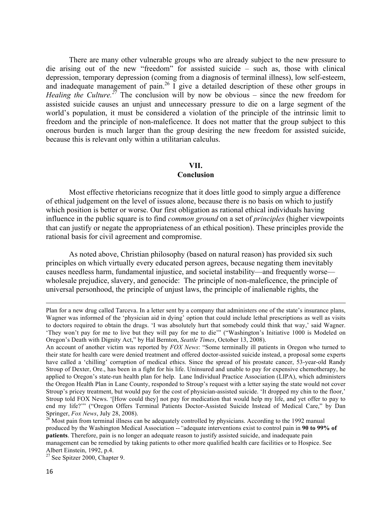There are many other vulnerable groups who are already subject to the new pressure to die arising out of the new "freedom" for assisted suicide – such as, those with clinical depression, temporary depression (coming from a diagnosis of terminal illness), low self-esteem, and inadequate management of pain.<sup>26</sup> I give a detailed description of these other groups in *Healing the Culture.*<sup>27</sup> The conclusion will by now be obvious – since the new freedom for assisted suicide causes an unjust and unnecessary pressure to die on a large segment of the world's population, it must be considered a violation of the principle of the intrinsic limit to freedom and the principle of non-maleficence. It does not matter that the group subject to this onerous burden is much larger than the group desiring the new freedom for assisted suicide, because this is relevant only within a utilitarian calculus.

#### **VII.**

#### **Conclusion**

Most effective rhetoricians recognize that it does little good to simply argue a difference of ethical judgement on the level of issues alone, because there is no basis on which to justify which position is better or worse. Our first obligation as rational ethical individuals having influence in the public square is to find *common ground* on a set of *principles* (higher viewpoints that can justify or negate the appropriateness of an ethical position). These principles provide the rational basis for civil agreement and compromise.

As noted above, Christian philosophy (based on natural reason) has provided six such principles on which virtually every educated person agrees, because negating them inevitably causes needless harm, fundamental injustice, and societal instability—and frequently worse wholesale prejudice, slavery, and genocide: The principle of non-maleficence, the principle of universal personhood, the principle of unjust laws, the principle of inalienable rights, the

<u> 1989 - Johann Barn, amerikansk politiker (d. 1989)</u>

Plan for a new drug called Tarceva. In a letter sent by a company that administers one of the state's insurance plans, Wagner was informed of the 'physician aid in dying' option that could include lethal prescriptions as well as visits to doctors required to obtain the drugs. 'I was absolutely hurt that somebody could think that way,' said Wagner. 'They won't pay for me to live but they will pay for me to die'" ("Washington's Initiative 1000 is Modeled on Oregon's Death with Dignity Act," by Hal Bernton, *Seattle Times*, October 13, 2008).

An account of another victim was reported by *FOX News*: "Some terminally ill patients in Oregon who turned to their state for health care were denied treatment and offered doctor-assisted suicide instead, a proposal some experts have called a 'chilling' corruption of medical ethics. Since the spread of his prostate cancer, 53-year-old Randy Stroup of Dexter, Ore., has been in a fight for his life. Uninsured and unable to pay for expensive chemotherapy, he applied to Oregon's state-run health plan for help. Lane Individual Practice Association (LIPA), which administers the Oregon Health Plan in Lane County, responded to Stroup's request with a letter saying the state would not cover Stroup's pricey treatment, but would pay for the cost of physician-assisted suicide. 'It dropped my chin to the floor,' Stroup told FOX News. '[How could they] not pay for medication that would help my life, and yet offer to pay to end my life?'" ("Oregon Offers Terminal Patients Doctor-Assisted Suicide Instead of Medical Care," by Dan Springer, *Fox News*, July 28, 2008).

<sup>&</sup>lt;sup>26</sup> Most pain from terminal illness can be adequately controlled by physicians. According to the 1992 manual produced by the Washington Medical Association --*"*adequate interventions exist to control pain in **90 to 99% of patients**. Therefore, pain is no longer an adequate reason to justify assisted suicide, and inadequate pain management can be remedied by taking patients to other more qualified health care facilities or to Hospice. See Albert Einstein, 1992, p.4.

 $27$  See Spitzer 2000, Chapter 9.